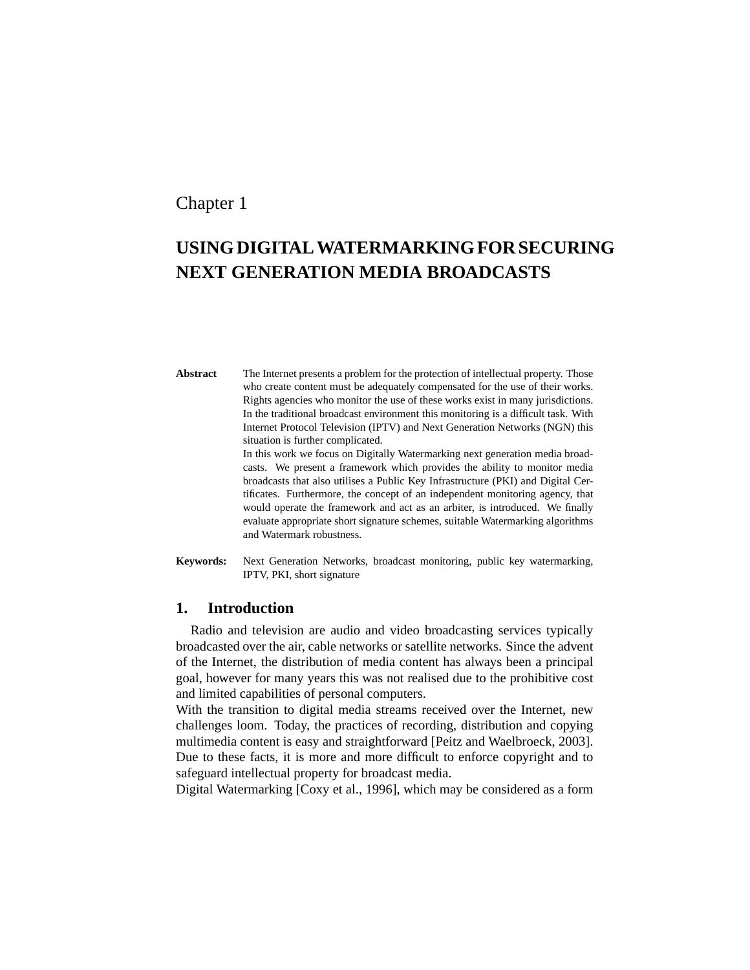# Chapter 1

# **USING DIGITAL WATERMARKING FOR SECURING NEXT GENERATION MEDIA BROADCASTS**

Abstract The Internet presents a problem for the protection of intellectual property. Those who create content must be adequately compensated for the use of their works. Rights agencies who monitor the use of these works exist in many jurisdictions. In the traditional broadcast environment this monitoring is a difficult task. With Internet Protocol Television (IPTV) and Next Generation Networks (NGN) this situation is further complicated. In this work we focus on Digitally Watermarking next generation media broad-

casts. We present a framework which provides the ability to monitor media broadcasts that also utilises a Public Key Infrastructure (PKI) and Digital Certificates. Furthermore, the concept of an independent monitoring agency, that would operate the framework and act as an arbiter, is introduced. We finally evaluate appropriate short signature schemes, suitable Watermarking algorithms and Watermark robustness.

**Keywords:** Next Generation Networks, broadcast monitoring, public key watermarking, IPTV, PKI, short signature

# **1. Introduction**

Radio and television are audio and video broadcasting services typically broadcasted over the air, cable networks or satellite networks. Since the advent of the Internet, the distribution of media content has always been a principal goal, however for many years this was not realised due to the prohibitive cost and limited capabilities of personal computers.

With the transition to digital media streams received over the Internet, new challenges loom. Today, the practices of recording, distribution and copying multimedia content is easy and straightforward [Peitz and Waelbroeck, 2003]. Due to these facts, it is more and more difficult to enforce copyright and to safeguard intellectual property for broadcast media.

Digital Watermarking [Coxy et al., 1996], which may be considered as a form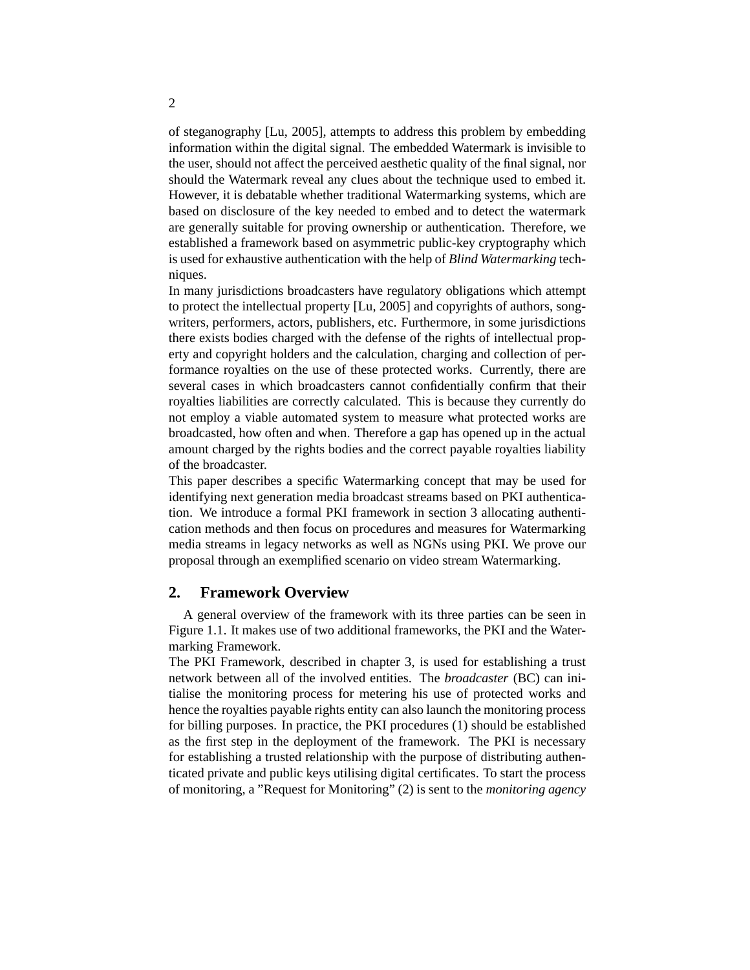of steganography [Lu, 2005], attempts to address this problem by embedding information within the digital signal. The embedded Watermark is invisible to the user, should not affect the perceived aesthetic quality of the final signal, nor should the Watermark reveal any clues about the technique used to embed it. However, it is debatable whether traditional Watermarking systems, which are based on disclosure of the key needed to embed and to detect the watermark are generally suitable for proving ownership or authentication. Therefore, we established a framework based on asymmetric public-key cryptography which is used for exhaustive authentication with the help of *Blind Watermarking* techniques.

In many jurisdictions broadcasters have regulatory obligations which attempt to protect the intellectual property [Lu, 2005] and copyrights of authors, songwriters, performers, actors, publishers, etc. Furthermore, in some jurisdictions there exists bodies charged with the defense of the rights of intellectual property and copyright holders and the calculation, charging and collection of performance royalties on the use of these protected works. Currently, there are several cases in which broadcasters cannot confidentially confirm that their royalties liabilities are correctly calculated. This is because they currently do not employ a viable automated system to measure what protected works are broadcasted, how often and when. Therefore a gap has opened up in the actual amount charged by the rights bodies and the correct payable royalties liability of the broadcaster.

This paper describes a specific Watermarking concept that may be used for identifying next generation media broadcast streams based on PKI authentication. We introduce a formal PKI framework in section 3 allocating authentication methods and then focus on procedures and measures for Watermarking media streams in legacy networks as well as NGNs using PKI. We prove our proposal through an exemplified scenario on video stream Watermarking.

# **2. Framework Overview**

A general overview of the framework with its three parties can be seen in Figure 1.1. It makes use of two additional frameworks, the PKI and the Watermarking Framework.

The PKI Framework, described in chapter 3, is used for establishing a trust network between all of the involved entities. The *broadcaster* (BC) can initialise the monitoring process for metering his use of protected works and hence the royalties payable rights entity can also launch the monitoring process for billing purposes. In practice, the PKI procedures (1) should be established as the first step in the deployment of the framework. The PKI is necessary for establishing a trusted relationship with the purpose of distributing authenticated private and public keys utilising digital certificates. To start the process of monitoring, a "Request for Monitoring" (2) is sent to the *monitoring agency*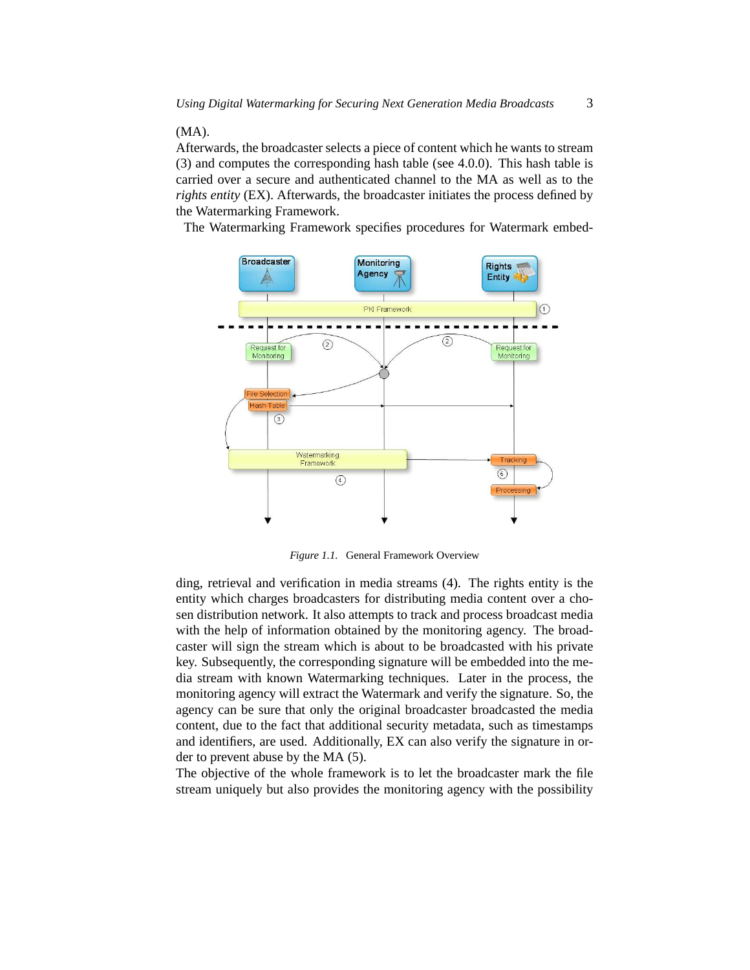#### (MA).

Afterwards, the broadcaster selects a piece of content which he wants to stream (3) and computes the corresponding hash table (see 4.0.0). This hash table is carried over a secure and authenticated channel to the MA as well as to the *rights entity* (EX). Afterwards, the broadcaster initiates the process defined by the Watermarking Framework.

The Watermarking Framework specifies procedures for Watermark embed-



*Figure 1.1.* General Framework Overview

ding, retrieval and verification in media streams (4). The rights entity is the entity which charges broadcasters for distributing media content over a chosen distribution network. It also attempts to track and process broadcast media with the help of information obtained by the monitoring agency. The broadcaster will sign the stream which is about to be broadcasted with his private key. Subsequently, the corresponding signature will be embedded into the media stream with known Watermarking techniques. Later in the process, the monitoring agency will extract the Watermark and verify the signature. So, the agency can be sure that only the original broadcaster broadcasted the media content, due to the fact that additional security metadata, such as timestamps and identifiers, are used. Additionally, EX can also verify the signature in order to prevent abuse by the MA (5).

The objective of the whole framework is to let the broadcaster mark the file stream uniquely but also provides the monitoring agency with the possibility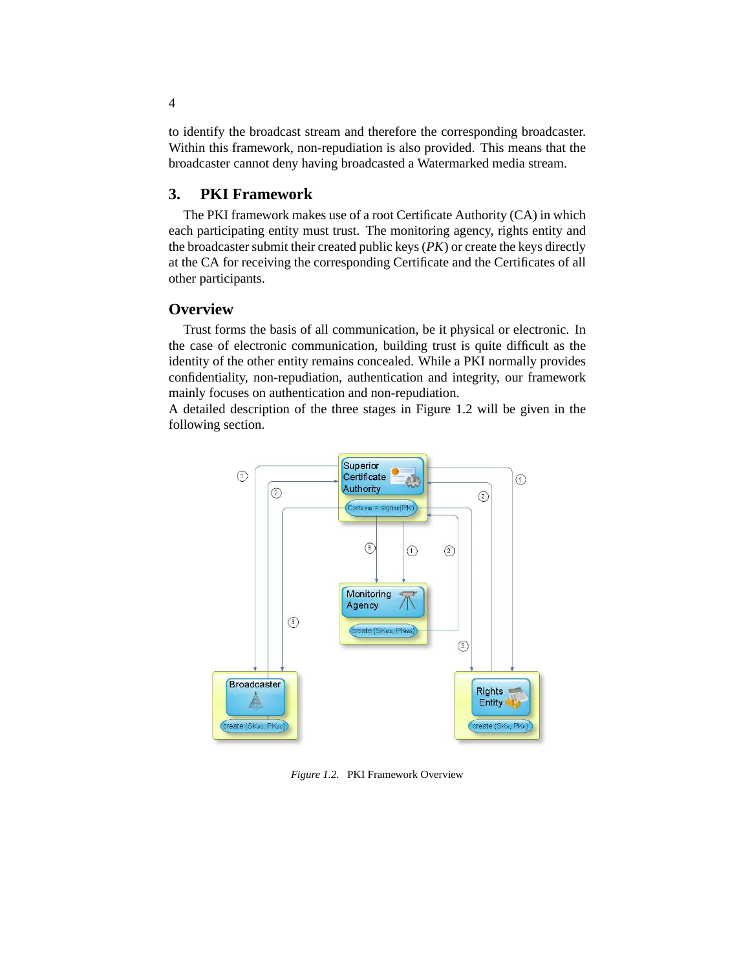to identify the broadcast stream and therefore the corresponding broadcaster. Within this framework, non-repudiation is also provided. This means that the broadcaster cannot deny having broadcasted a Watermarked media stream.

# **3. PKI Framework**

The PKI framework makes use of a root Certificate Authority (CA) in which each participating entity must trust. The monitoring agency, rights entity and the broadcaster submit their created public keys (*PK*) or create the keys directly at the CA for receiving the corresponding Certificate and the Certificates of all other participants.

# **Overview**

Trust forms the basis of all communication, be it physical or electronic. In the case of electronic communication, building trust is quite difficult as the identity of the other entity remains concealed. While a PKI normally provides confidentiality, non-repudiation, authentication and integrity, our framework mainly focuses on authentication and non-repudiation.

A detailed description of the three stages in Figure 1.2 will be given in the following section.



*Figure 1.2.* PKI Framework Overview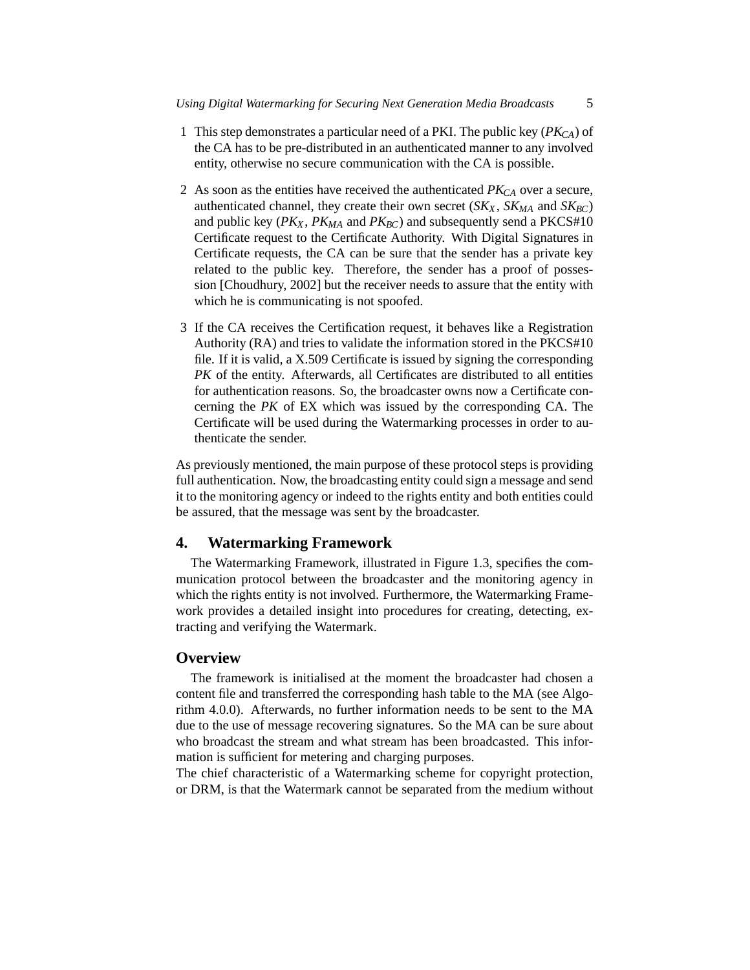- 1 This step demonstrates a particular need of a PKI. The public key (*PKCA*) of the CA has to be pre-distributed in an authenticated manner to any involved entity, otherwise no secure communication with the CA is possible.
- 2 As soon as the entities have received the authenticated *PKCA* over a secure, authenticated channel, they create their own secret (*SK<sup>X</sup>* , *SKMA* and *SKBC*) and public key ( $PK_X$ ,  $PK_{MA}$  and  $PK_{BC}$ ) and subsequently send a  $PKCS#10$ Certificate request to the Certificate Authority. With Digital Signatures in Certificate requests, the CA can be sure that the sender has a private key related to the public key. Therefore, the sender has a proof of possession [Choudhury, 2002] but the receiver needs to assure that the entity with which he is communicating is not spoofed.
- 3 If the CA receives the Certification request, it behaves like a Registration Authority (RA) and tries to validate the information stored in the PKCS#10 file. If it is valid, a X.509 Certificate is issued by signing the corresponding *PK* of the entity. Afterwards, all Certificates are distributed to all entities for authentication reasons. So, the broadcaster owns now a Certificate concerning the *PK* of EX which was issued by the corresponding CA. The Certificate will be used during the Watermarking processes in order to authenticate the sender.

As previously mentioned, the main purpose of these protocol steps is providing full authentication. Now, the broadcasting entity could sign a message and send it to the monitoring agency or indeed to the rights entity and both entities could be assured, that the message was sent by the broadcaster.

### **4. Watermarking Framework**

The Watermarking Framework, illustrated in Figure 1.3, specifies the communication protocol between the broadcaster and the monitoring agency in which the rights entity is not involved. Furthermore, the Watermarking Framework provides a detailed insight into procedures for creating, detecting, extracting and verifying the Watermark.

# **Overview**

The framework is initialised at the moment the broadcaster had chosen a content file and transferred the corresponding hash table to the MA (see Algorithm 4.0.0). Afterwards, no further information needs to be sent to the MA due to the use of message recovering signatures. So the MA can be sure about who broadcast the stream and what stream has been broadcasted. This information is sufficient for metering and charging purposes.

The chief characteristic of a Watermarking scheme for copyright protection, or DRM, is that the Watermark cannot be separated from the medium without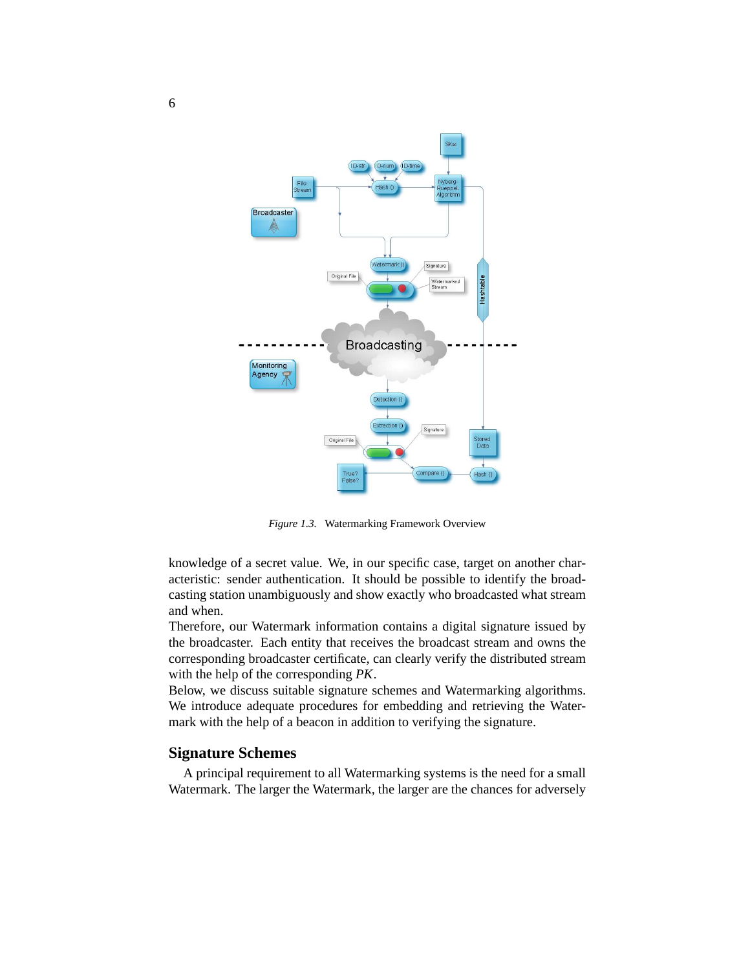

*Figure 1.3.* Watermarking Framework Overview

knowledge of a secret value. We, in our specific case, target on another characteristic: sender authentication. It should be possible to identify the broadcasting station unambiguously and show exactly who broadcasted what stream and when.

Therefore, our Watermark information contains a digital signature issued by the broadcaster. Each entity that receives the broadcast stream and owns the corresponding broadcaster certificate, can clearly verify the distributed stream with the help of the corresponding *PK*.

Below, we discuss suitable signature schemes and Watermarking algorithms. We introduce adequate procedures for embedding and retrieving the Watermark with the help of a beacon in addition to verifying the signature.

# **Signature Schemes**

A principal requirement to all Watermarking systems is the need for a small Watermark. The larger the Watermark, the larger are the chances for adversely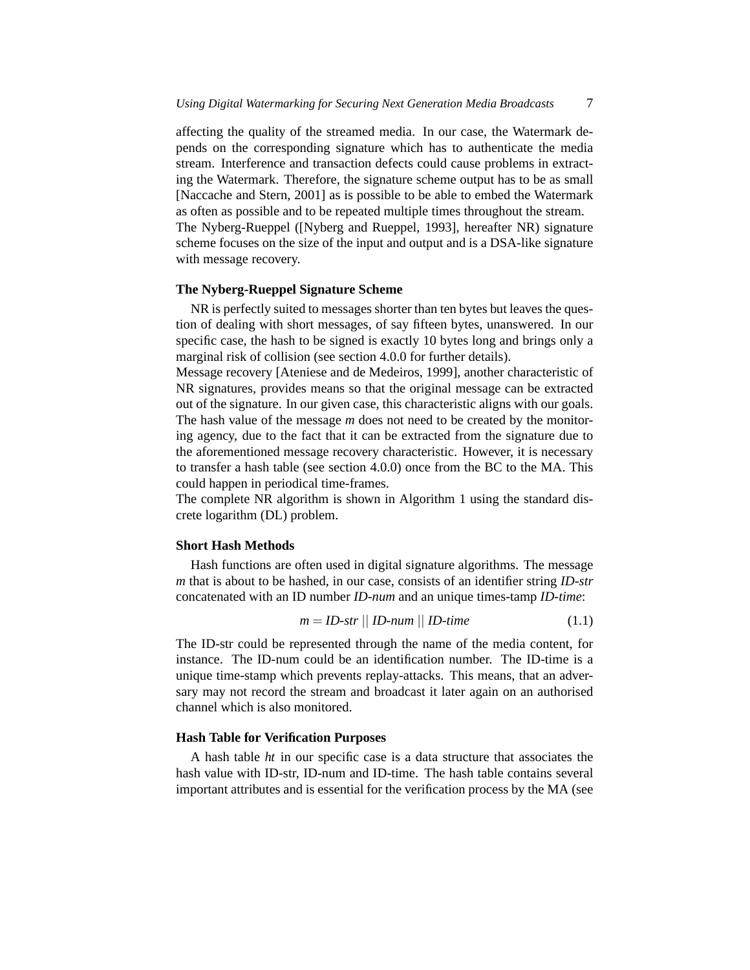affecting the quality of the streamed media. In our case, the Watermark depends on the corresponding signature which has to authenticate the media stream. Interference and transaction defects could cause problems in extracting the Watermark. Therefore, the signature scheme output has to be as small [Naccache and Stern, 2001] as is possible to be able to embed the Watermark as often as possible and to be repeated multiple times throughout the stream. The Nyberg-Rueppel ([Nyberg and Rueppel, 1993], hereafter NR) signature scheme focuses on the size of the input and output and is a DSA-like signature with message recovery.

### **The Nyberg-Rueppel Signature Scheme**

NR is perfectly suited to messages shorter than ten bytes but leaves the question of dealing with short messages, of say fifteen bytes, unanswered. In our specific case, the hash to be signed is exactly 10 bytes long and brings only a marginal risk of collision (see section 4.0.0 for further details).

Message recovery [Ateniese and de Medeiros, 1999], another characteristic of NR signatures, provides means so that the original message can be extracted out of the signature. In our given case, this characteristic aligns with our goals. The hash value of the message *m* does not need to be created by the monitoring agency, due to the fact that it can be extracted from the signature due to the aforementioned message recovery characteristic. However, it is necessary to transfer a hash table (see section 4.0.0) once from the BC to the MA. This could happen in periodical time-frames.

The complete NR algorithm is shown in Algorithm 1 using the standard discrete logarithm (DL) problem.

#### **Short Hash Methods**

Hash functions are often used in digital signature algorithms. The message *m* that is about to be hashed, in our case, consists of an identifier string *ID-str* concatenated with an ID number *ID-num* and an unique times-tamp *ID-time*:

$$
m = ID\text{-}str || ID\text{-}num || ID\text{-}time
$$
\n
$$
(1.1)
$$

The ID-str could be represented through the name of the media content, for instance. The ID-num could be an identification number. The ID-time is a unique time-stamp which prevents replay-attacks. This means, that an adversary may not record the stream and broadcast it later again on an authorised channel which is also monitored.

#### **Hash Table for Verification Purposes**

A hash table *ht* in our specific case is a data structure that associates the hash value with ID-str, ID-num and ID-time. The hash table contains several important attributes and is essential for the verification process by the MA (see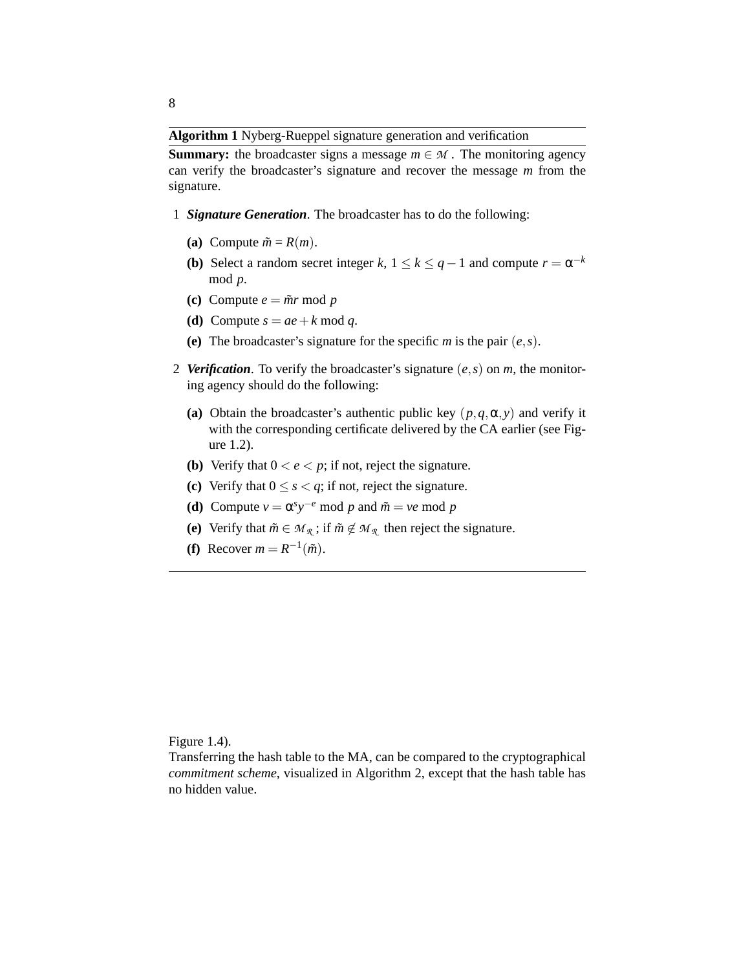**Algorithm 1** Nyberg-Rueppel signature generation and verification

**Summary:** the broadcaster signs a message  $m \in M$ . The monitoring agency can verify the broadcaster's signature and recover the message *m* from the signature.

- 1 *Signature Generation*. The broadcaster has to do the following:
	- (a) Compute  $\tilde{m} = R(m)$ .
	- **(b)** Select a random secret integer *k*,  $1 \le k \le q-1$  and compute  $r = \alpha^{-k}$ mod *p*.
	- **(c)** Compute  $e = \tilde{m}r \text{ mod } p$
	- (d) Compute  $s = ae + k \mod q$ .
	- **(e)** The broadcaster's signature for the specific *m* is the pair (*e*,*s*).
- 2 *Verification*. To verify the broadcaster's signature (*e*,*s*) on *m*, the monitoring agency should do the following:
	- **(a)** Obtain the broadcaster's authentic public key  $(p, q, \alpha, y)$  and verify it with the corresponding certificate delivered by the CA earlier (see Figure 1.2).
	- **(b)** Verify that  $0 < e < p$ ; if not, reject the signature.
	- **(c)** Verify that  $0 \le s < q$ ; if not, reject the signature.
	- **(d)** Compute  $v = \alpha^s y^{-e} \text{ mod } p$  and  $\tilde{m} = ve \text{ mod } p$
	- **(e)** Verify that  $\tilde{m} \in M_{\tilde{R}}$ ; if  $\tilde{m} \notin M_{\tilde{R}}$  then reject the signature.
	- **(f)** Recover  $m = R^{-1}(\tilde{m})$ .

Figure 1.4).

8

Transferring the hash table to the MA, can be compared to the cryptographical *commitment scheme*, visualized in Algorithm 2, except that the hash table has no hidden value.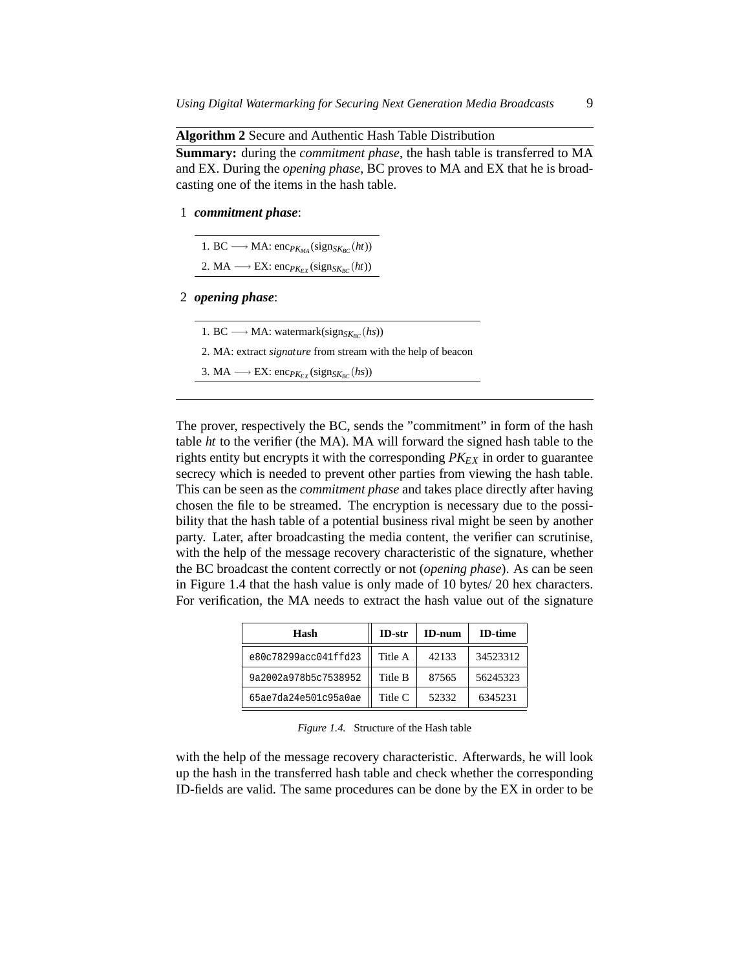#### **Algorithm 2** Secure and Authentic Hash Table Distribution

**Summary:** during the *commitment phase*, the hash table is transferred to MA and EX. During the *opening phase*, BC proves to MA and EX that he is broadcasting one of the items in the hash table.

1 *commitment phase*:

1. BC  $\longrightarrow$  MA: enc<sub>*PK<sub>MA</sub>* (sign<sub>*SK<sub>BC</sub>*</sub> (*ht*))</sub>

2. MA  $\longrightarrow$  EX: enc<sub>*PK<sub>EX</sub>*</sub> (sign<sub>*SK<sub>BC</sub>*</sub> (*ht*))

2 *opening phase*:

|  |  |  | 1. BC $\longrightarrow$ MA: watermark(sign <sub>SK<sub>BC</sub>(hs))</sub> |  |  |
|--|--|--|----------------------------------------------------------------------------|--|--|
|--|--|--|----------------------------------------------------------------------------|--|--|

- 2. MA: extract *signature* from stream with the help of beacon
- 3. MA  $\longrightarrow$  EX: enc<sub>*PK<sub>EX</sub>*</sub> (sign<sub>*SK<sub>BC</sub>*</sub> (*hs*))

The prover, respectively the BC, sends the "commitment" in form of the hash table *ht* to the verifier (the MA). MA will forward the signed hash table to the rights entity but encrypts it with the corresponding *PKEX* in order to guarantee secrecy which is needed to prevent other parties from viewing the hash table. This can be seen as the *commitment phase* and takes place directly after having chosen the file to be streamed. The encryption is necessary due to the possibility that the hash table of a potential business rival might be seen by another party. Later, after broadcasting the media content, the verifier can scrutinise, with the help of the message recovery characteristic of the signature, whether the BC broadcast the content correctly or not (*opening phase*). As can be seen in Figure 1.4 that the hash value is only made of 10 bytes/ 20 hex characters. For verification, the MA needs to extract the hash value out of the signature

| Hash                 | <b>ID-str</b> | ID-num | <b>ID-time</b> |
|----------------------|---------------|--------|----------------|
| e80c78299acc041ffd23 | Title A       | 42133  | 34523312       |
| 9a2002a978b5c7538952 | Title B       | 87565  | 56245323       |
| 65ae7da24e501c95a0ae | Title C       | 52332  | 6345231        |

*Figure 1.4.* Structure of the Hash table

with the help of the message recovery characteristic. Afterwards, he will look up the hash in the transferred hash table and check whether the corresponding ID-fields are valid. The same procedures can be done by the EX in order to be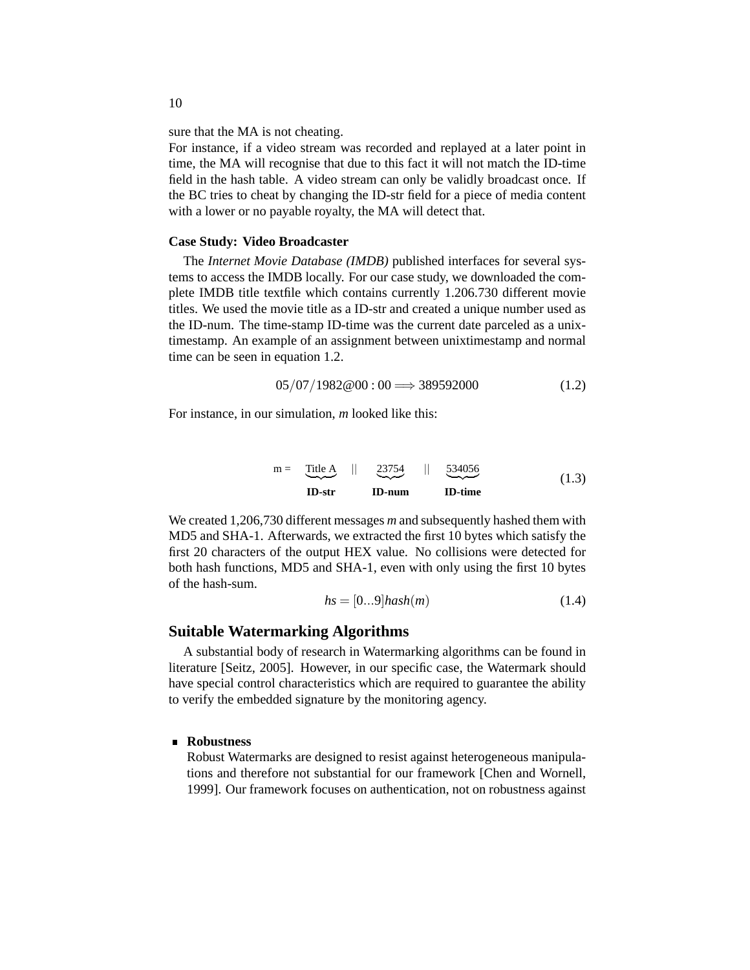sure that the MA is not cheating.

For instance, if a video stream was recorded and replayed at a later point in time, the MA will recognise that due to this fact it will not match the ID-time field in the hash table. A video stream can only be validly broadcast once. If the BC tries to cheat by changing the ID-str field for a piece of media content with a lower or no payable royalty, the MA will detect that.

#### **Case Study: Video Broadcaster**

The *Internet Movie Database (IMDB)* published interfaces for several systems to access the IMDB locally. For our case study, we downloaded the complete IMDB title textfile which contains currently 1.206.730 different movie titles. We used the movie title as a ID-str and created a unique number used as the ID-num. The time-stamp ID-time was the current date parceled as a unixtimestamp. An example of an assignment between unixtimestamp and normal time can be seen in equation 1.2.

$$
05/07/1982@00:00 \Longrightarrow 389592000 \tag{1.2}
$$

For instance, in our simulation, *m* looked like this:

m = 
$$
\frac{\text{Title A}}{\text{ID-str}}
$$
 ||  $\frac{23754}{\text{ID-num}}$  ||  $\frac{534056}{\text{ID-time}}$  (1.3)

We created 1,206,730 different messages *m* and subsequently hashed them with MD5 and SHA-1. Afterwards, we extracted the first 10 bytes which satisfy the first 20 characters of the output HEX value. No collisions were detected for both hash functions, MD5 and SHA-1, even with only using the first 10 bytes of the hash-sum.

$$
hs = [0...9]hash(m) \tag{1.4}
$$

### **Suitable Watermarking Algorithms**

A substantial body of research in Watermarking algorithms can be found in literature [Seitz, 2005]. However, in our specific case, the Watermark should have special control characteristics which are required to guarantee the ability to verify the embedded signature by the monitoring agency.

### **Robustness**

Robust Watermarks are designed to resist against heterogeneous manipulations and therefore not substantial for our framework [Chen and Wornell, 1999]. Our framework focuses on authentication, not on robustness against

10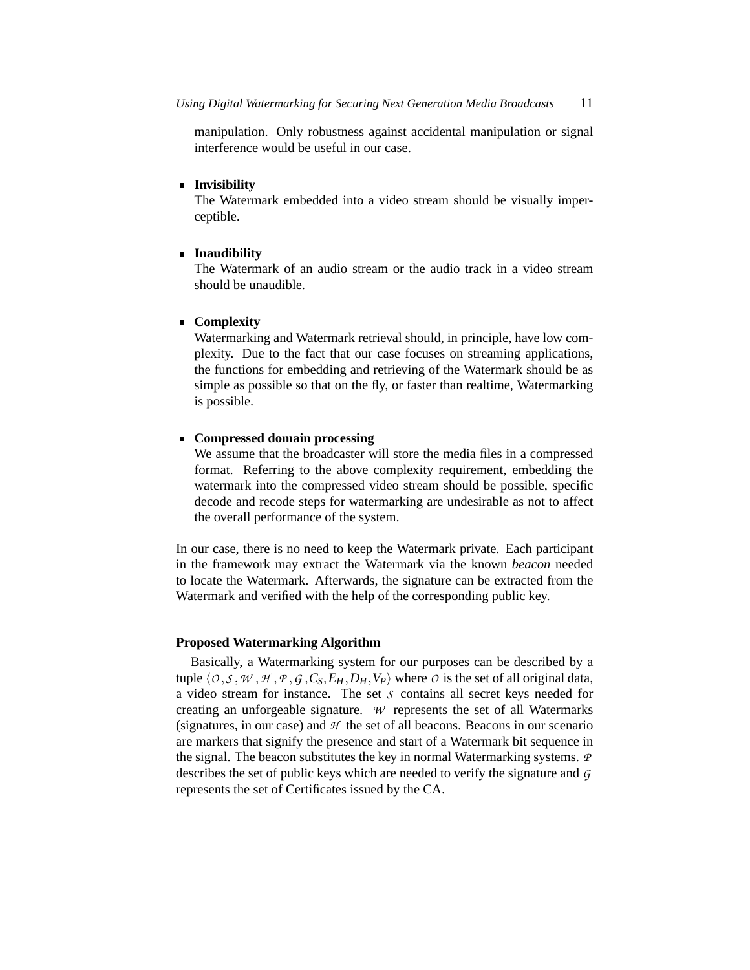manipulation. Only robustness against accidental manipulation or signal interference would be useful in our case.

### **Invisibility**

The Watermark embedded into a video stream should be visually imperceptible.

### **Inaudibility**

The Watermark of an audio stream or the audio track in a video stream should be unaudible.

#### **Complexity**

Watermarking and Watermark retrieval should, in principle, have low complexity. Due to the fact that our case focuses on streaming applications, the functions for embedding and retrieving of the Watermark should be as simple as possible so that on the fly, or faster than realtime, Watermarking is possible.

#### **Compressed domain processing**

We assume that the broadcaster will store the media files in a compressed format. Referring to the above complexity requirement, embedding the watermark into the compressed video stream should be possible, specific decode and recode steps for watermarking are undesirable as not to affect the overall performance of the system.

In our case, there is no need to keep the Watermark private. Each participant in the framework may extract the Watermark via the known *beacon* needed to locate the Watermark. Afterwards, the signature can be extracted from the Watermark and verified with the help of the corresponding public key.

#### **Proposed Watermarking Algorithm**

Basically, a Watermarking system for our purposes can be described by a tuple  $\langle O, S, W, H, P, G, C_S, E_H, D_H, V_P \rangle$  where *O* is the set of all original data, a video stream for instance. The set *S* contains all secret keys needed for creating an unforgeable signature. *W* represents the set of all Watermarks (signatures, in our case) and *H* the set of all beacons. Beacons in our scenario are markers that signify the presence and start of a Watermark bit sequence in the signal. The beacon substitutes the key in normal Watermarking systems. *P* describes the set of public keys which are needed to verify the signature and *G* represents the set of Certificates issued by the CA.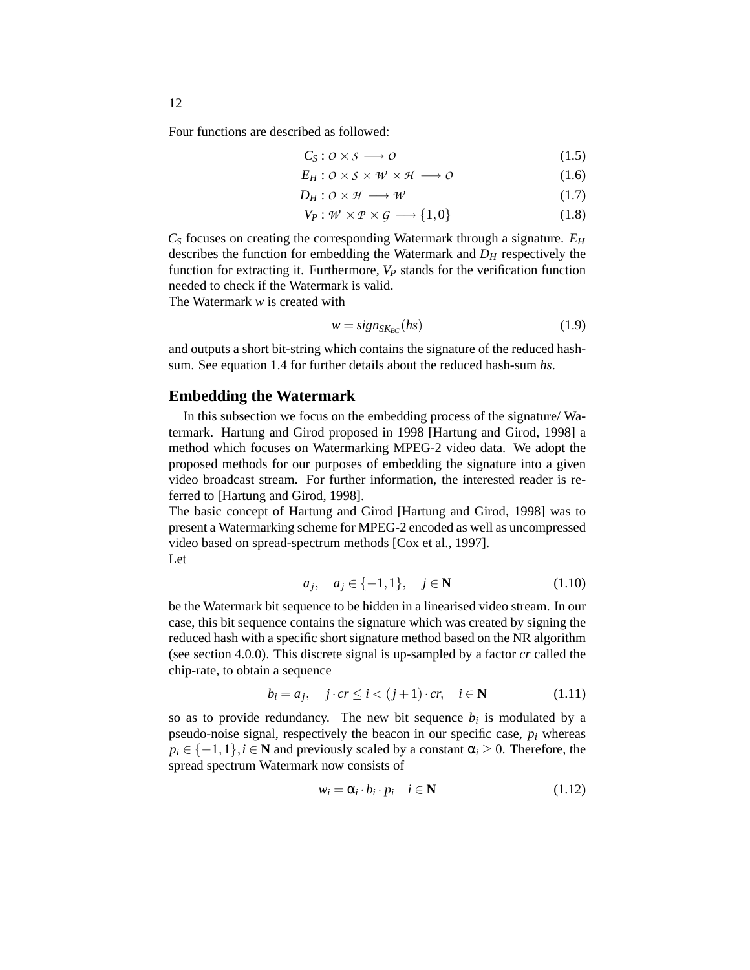Four functions are described as followed:

$$
C_S: \mathcal{O} \times \mathcal{S} \longrightarrow \mathcal{O}
$$
\n<sup>(1.5)</sup>

$$
E_H: 0 \times S \times W \times H \longrightarrow 0 \tag{1.6}
$$

$$
D_H: \mathcal{O} \times \mathcal{H} \longrightarrow \mathcal{W} \tag{1.7}
$$

$$
V_P: \mathcal{W} \times \mathcal{P} \times \mathcal{G} \longrightarrow \{1,0\} \tag{1.8}
$$

 $C<sub>S</sub>$  focuses on creating the corresponding Watermark through a signature.  $E<sub>H</sub>$ describes the function for embedding the Watermark and *D<sup>H</sup>* respectively the function for extracting it. Furthermore,  $V_P$  stands for the verification function needed to check if the Watermark is valid.

The Watermark *w* is created with

$$
w = sign_{SK_{BC}}(hs) \tag{1.9}
$$

and outputs a short bit-string which contains the signature of the reduced hashsum. See equation 1.4 for further details about the reduced hash-sum *hs*.

# **Embedding the Watermark**

In this subsection we focus on the embedding process of the signature/ Watermark. Hartung and Girod proposed in 1998 [Hartung and Girod, 1998] a method which focuses on Watermarking MPEG-2 video data. We adopt the proposed methods for our purposes of embedding the signature into a given video broadcast stream. For further information, the interested reader is referred to [Hartung and Girod, 1998].

The basic concept of Hartung and Girod [Hartung and Girod, 1998] was to present a Watermarking scheme for MPEG-2 encoded as well as uncompressed video based on spread-spectrum methods [Cox et al., 1997]. Let

$$
a_j, \quad a_j \in \{-1, 1\}, \quad j \in \mathbb{N} \tag{1.10}
$$

be the Watermark bit sequence to be hidden in a linearised video stream. In our case, this bit sequence contains the signature which was created by signing the reduced hash with a specific short signature method based on the NR algorithm (see section 4.0.0). This discrete signal is up-sampled by a factor *cr* called the chip-rate, to obtain a sequence

$$
b_i = a_j, \quad j \cdot cr \le i < (j+1) \cdot cr, \quad i \in \mathbb{N} \tag{1.11}
$$

so as to provide redundancy. The new bit sequence  $b_i$  is modulated by a pseudo-noise signal, respectively the beacon in our specific case,  $p_i$  whereas  $p_i \in \{-1,1\}, i \in \mathbb{N}$  and previously scaled by a constant  $\alpha_i \geq 0$ . Therefore, the spread spectrum Watermark now consists of

$$
w_i = \alpha_i \cdot b_i \cdot p_i \quad i \in \mathbb{N} \tag{1.12}
$$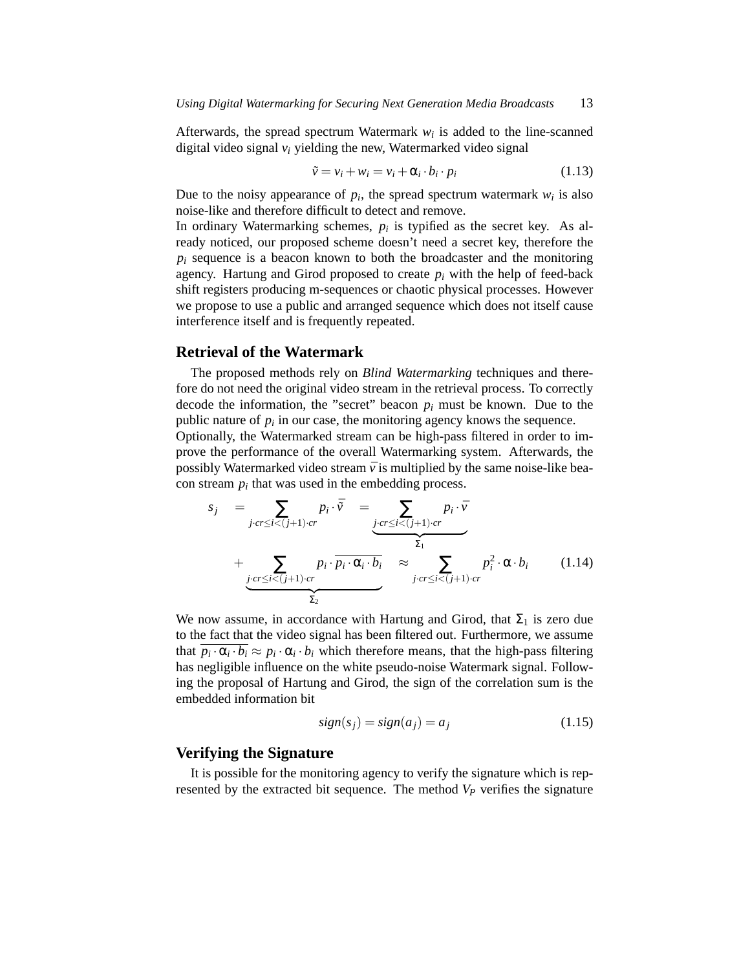Afterwards, the spread spectrum Watermark  $w_i$  is added to the line-scanned digital video signal  $v_i$  yielding the new, Watermarked video signal

$$
\tilde{v} = v_i + w_i = v_i + \alpha_i \cdot b_i \cdot p_i \tag{1.13}
$$

Due to the noisy appearance of  $p_i$ , the spread spectrum watermark  $w_i$  is also noise-like and therefore difficult to detect and remove.

In ordinary Watermarking schemes,  $p_i$  is typified as the secret key. As already noticed, our proposed scheme doesn't need a secret key, therefore the  $p_i$  sequence is a beacon known to both the broadcaster and the monitoring agency. Hartung and Girod proposed to create  $p_i$  with the help of feed-back shift registers producing m-sequences or chaotic physical processes. However we propose to use a public and arranged sequence which does not itself cause interference itself and is frequently repeated.

### **Retrieval of the Watermark**

The proposed methods rely on *Blind Watermarking* techniques and therefore do not need the original video stream in the retrieval process. To correctly decode the information, the "secret" beacon  $p_i$  must be known. Due to the public nature of  $p_i$  in our case, the monitoring agency knows the sequence.

Optionally, the Watermarked stream can be high-pass filtered in order to improve the performance of the overall Watermarking system. Afterwards, the possibly Watermarked video stream  $\bar{v}$  is multiplied by the same noise-like beacon stream  $p_i$  that was used in the embedding process.

$$
s_j = \sum_{j \cdot cr \le i < (j+1) \cdot cr} p_i \cdot \overline{v} = \sum_{\substack{j \cdot cr \le i < (j+1) \cdot cr \\ \sum_{i} \sum_{j \cdot cr \le i < (j+1) \cdot cr}} p_i \cdot \overline{v} \cdot \overline{v} \cdot \overline{v} \cdot \overline{v} \cdot \overline{v} \cdot \overline{v} \cdot \overline{v} \cdot \overline{v} \cdot \overline{v} \cdot \overline{v} \cdot \overline{v} \cdot \overline{v} \cdot \overline{v} \cdot \overline{v} \cdot \overline{v} \cdot \overline{v} \cdot \overline{v} \cdot \overline{v} \cdot \overline{v} \cdot \overline{v} \cdot \overline{v} \cdot \overline{v} \cdot \overline{v} \cdot \overline{v} \cdot \overline{v} \cdot \overline{v} \cdot \overline{v} \cdot \overline{v} \cdot \overline{v} \cdot \overline{v} \cdot \overline{v} \cdot \overline{v} \cdot \overline{v} \cdot \overline{v} \cdot \overline{v} \cdot \overline{v} \cdot \overline{v} \cdot \overline{v} \cdot \overline{v} \cdot \overline{v} \cdot \overline{v} \cdot \overline{v} \cdot \overline{v} \cdot \overline{v} \cdot \overline{v} \cdot \overline{v} \cdot \overline{v} \cdot \overline{v} \cdot \overline{v} \cdot \overline{v} \cdot \overline{v} \cdot \overline{v} \cdot \overline{v} \cdot \overline{v} \cdot \overline{v} \cdot \overline{v} \cdot \overline{v} \cdot \overline{v} \cdot \overline{v} \cdot \overline{v} \cdot \overline{v} \cdot \overline{v} \cdot \overline{v} \cdot \overline{v} \cdot \overline{v} \cdot \overline{v} \cdot \overline{v} \cdot \overline{v} \cdot \overline{v} \cdot \overline{v} \cdot \overline{v} \cdot \overline{v} \cdot \overline{v} \cdot \overline{v} \cdot \overline{v} \cdot \overline{v} \cdot \overline{v} \cdot \overline{v} \cdot \overline{v} \cdot \overline{v} \cdot \overline{v} \cdot \overline{v} \cdot \overline{v} \cdot \overline
$$

We now assume, in accordance with Hartung and Girod, that  $\Sigma_1$  is zero due to the fact that the video signal has been filtered out. Furthermore, we assume that  $p_i \cdot \alpha_i \cdot b_i \approx p_i \cdot \alpha_i \cdot b_i$  which therefore means, that the high-pass filtering has negligible influence on the white pseudo-noise Watermark signal. Following the proposal of Hartung and Girod, the sign of the correlation sum is the embedded information bit

$$
sign(s_j) = sign(a_j) = a_j \tag{1.15}
$$

# **Verifying the Signature**

It is possible for the monitoring agency to verify the signature which is represented by the extracted bit sequence. The method  $V_P$  verifies the signature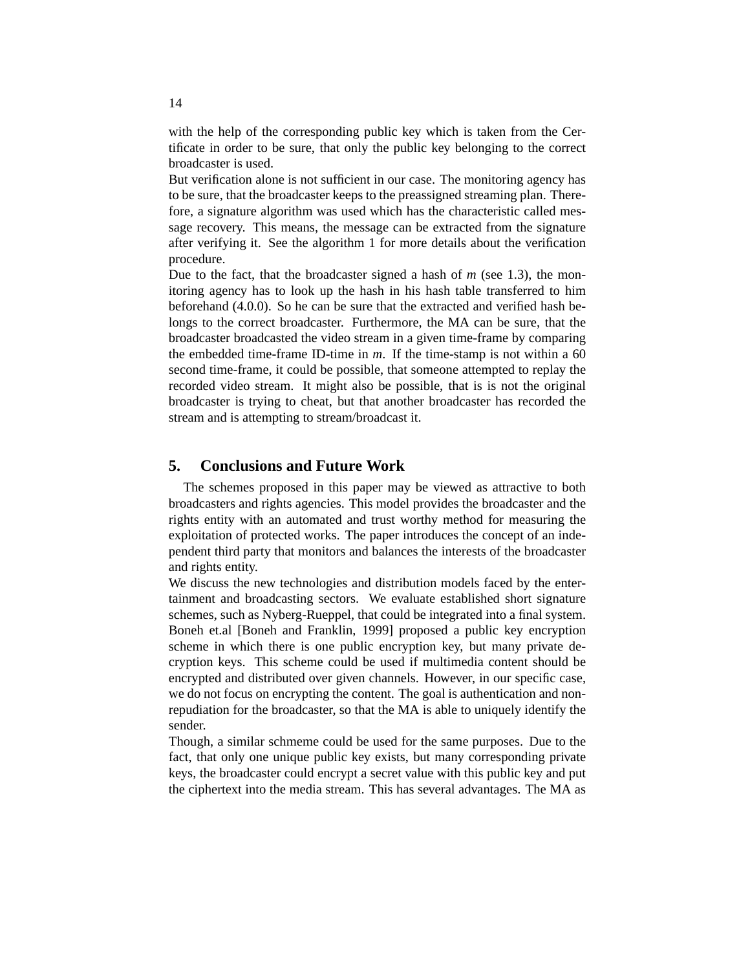with the help of the corresponding public key which is taken from the Certificate in order to be sure, that only the public key belonging to the correct broadcaster is used.

But verification alone is not sufficient in our case. The monitoring agency has to be sure, that the broadcaster keeps to the preassigned streaming plan. Therefore, a signature algorithm was used which has the characteristic called message recovery. This means, the message can be extracted from the signature after verifying it. See the algorithm 1 for more details about the verification procedure.

Due to the fact, that the broadcaster signed a hash of *m* (see 1.3), the monitoring agency has to look up the hash in his hash table transferred to him beforehand (4.0.0). So he can be sure that the extracted and verified hash belongs to the correct broadcaster. Furthermore, the MA can be sure, that the broadcaster broadcasted the video stream in a given time-frame by comparing the embedded time-frame ID-time in *m*. If the time-stamp is not within a 60 second time-frame, it could be possible, that someone attempted to replay the recorded video stream. It might also be possible, that is is not the original broadcaster is trying to cheat, but that another broadcaster has recorded the stream and is attempting to stream/broadcast it.

# **5. Conclusions and Future Work**

The schemes proposed in this paper may be viewed as attractive to both broadcasters and rights agencies. This model provides the broadcaster and the rights entity with an automated and trust worthy method for measuring the exploitation of protected works. The paper introduces the concept of an independent third party that monitors and balances the interests of the broadcaster and rights entity.

We discuss the new technologies and distribution models faced by the entertainment and broadcasting sectors. We evaluate established short signature schemes, such as Nyberg-Rueppel, that could be integrated into a final system. Boneh et.al [Boneh and Franklin, 1999] proposed a public key encryption scheme in which there is one public encryption key, but many private decryption keys. This scheme could be used if multimedia content should be encrypted and distributed over given channels. However, in our specific case, we do not focus on encrypting the content. The goal is authentication and nonrepudiation for the broadcaster, so that the MA is able to uniquely identify the sender.

Though, a similar schmeme could be used for the same purposes. Due to the fact, that only one unique public key exists, but many corresponding private keys, the broadcaster could encrypt a secret value with this public key and put the ciphertext into the media stream. This has several advantages. The MA as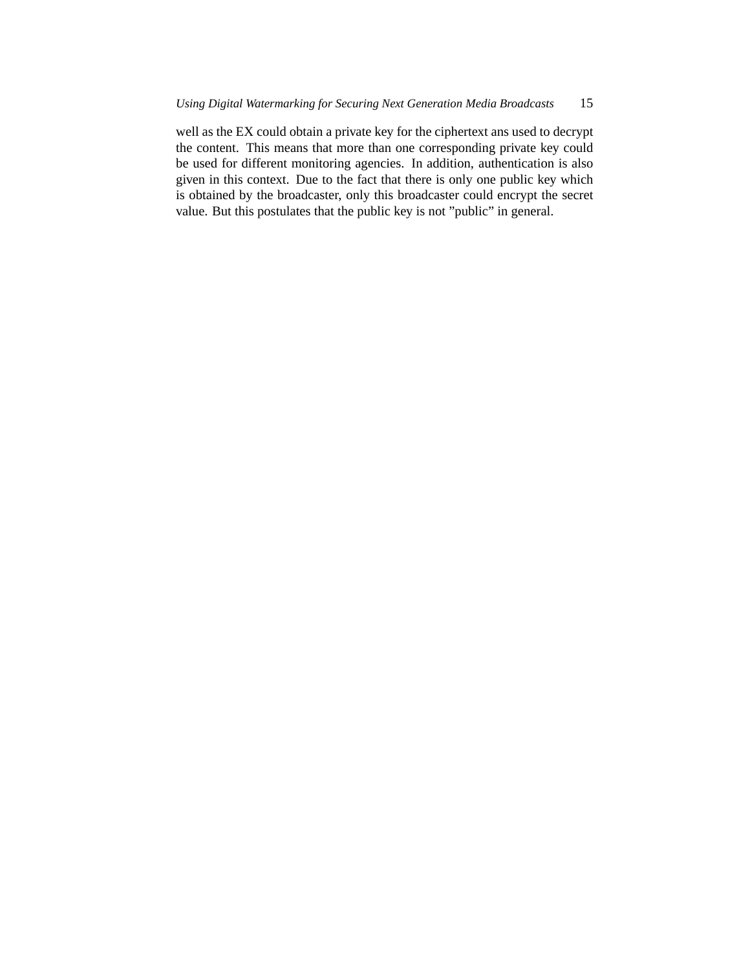well as the EX could obtain a private key for the ciphertext ans used to decrypt the content. This means that more than one corresponding private key could be used for different monitoring agencies. In addition, authentication is also given in this context. Due to the fact that there is only one public key which is obtained by the broadcaster, only this broadcaster could encrypt the secret value. But this postulates that the public key is not "public" in general.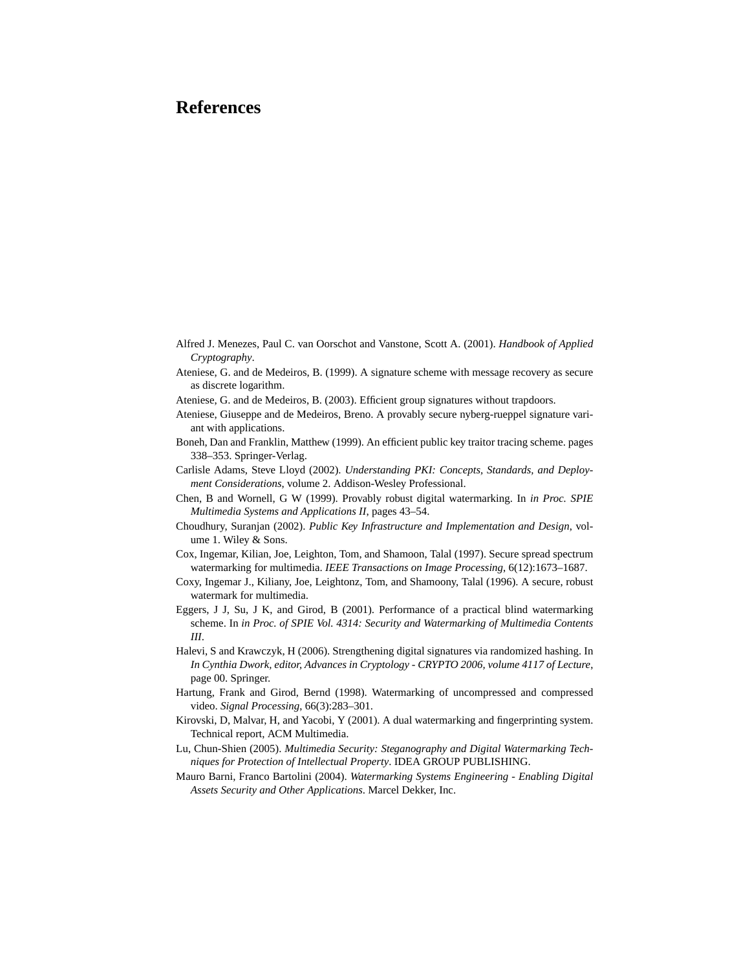# **References**

- Alfred J. Menezes, Paul C. van Oorschot and Vanstone, Scott A. (2001). *Handbook of Applied Cryptography*.
- Ateniese, G. and de Medeiros, B. (1999). A signature scheme with message recovery as secure as discrete logarithm.
- Ateniese, G. and de Medeiros, B. (2003). Efficient group signatures without trapdoors.
- Ateniese, Giuseppe and de Medeiros, Breno. A provably secure nyberg-rueppel signature variant with applications.
- Boneh, Dan and Franklin, Matthew (1999). An efficient public key traitor tracing scheme. pages 338–353. Springer-Verlag.
- Carlisle Adams, Steve Lloyd (2002). *Understanding PKI: Concepts, Standards, and Deployment Considerations*, volume 2. Addison-Wesley Professional.
- Chen, B and Wornell, G W (1999). Provably robust digital watermarking. In *in Proc. SPIE Multimedia Systems and Applications II*, pages 43–54.
- Choudhury, Suranjan (2002). *Public Key Infrastructure and Implementation and Design*, volume 1. Wiley & Sons.
- Cox, Ingemar, Kilian, Joe, Leighton, Tom, and Shamoon, Talal (1997). Secure spread spectrum watermarking for multimedia. *IEEE Transactions on Image Processing*, 6(12):1673–1687.
- Coxy, Ingemar J., Kiliany, Joe, Leightonz, Tom, and Shamoony, Talal (1996). A secure, robust watermark for multimedia.
- Eggers, J J, Su, J K, and Girod, B (2001). Performance of a practical blind watermarking scheme. In *in Proc. of SPIE Vol. 4314: Security and Watermarking of Multimedia Contents III*.
- Halevi, S and Krawczyk, H (2006). Strengthening digital signatures via randomized hashing. In *In Cynthia Dwork, editor, Advances in Cryptology - CRYPTO 2006, volume 4117 of Lecture*, page 00. Springer.
- Hartung, Frank and Girod, Bernd (1998). Watermarking of uncompressed and compressed video. *Signal Processing*, 66(3):283–301.
- Kirovski, D, Malvar, H, and Yacobi, Y (2001). A dual watermarking and fingerprinting system. Technical report, ACM Multimedia.
- Lu, Chun-Shien (2005). *Multimedia Security: Steganography and Digital Watermarking Techniques for Protection of Intellectual Property*. IDEA GROUP PUBLISHING.
- Mauro Barni, Franco Bartolini (2004). *Watermarking Systems Engineering Enabling Digital Assets Security and Other Applications*. Marcel Dekker, Inc.